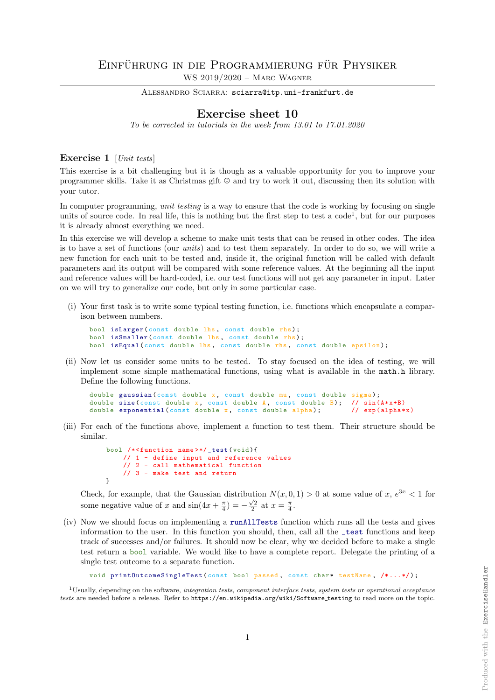ALESSANDRO SCIARRA: sciarra@itp.uni-frankfurt.de

## Exercise sheet 10

To be corrected in tutorials in the week from 13.01 to 17.01.2020

## Exercise 1 [Unit tests]

This exercise is a bit challenging but it is though as a valuable opportunity for you to improve your programmer skills. Take it as Christmas gift  $\odot$  and try to work it out, discussing then its solution with your tutor.

In computer programming, *unit testing* is a way to ensure that the code is working by focusing on single units of source code. In real life, this is nothing but the first step to test a code<sup>1</sup>, but for our purposes it is already almost everything we need.

In this exercise we will develop a scheme to make unit tests that can be reused in other codes. The idea is to have a set of functions (our units) and to test them separately. In order to do so, we will write a new function for each unit to be tested and, inside it, the original function will be called with default parameters and its output will be compared with some reference values. At the beginning all the input and reference values will be hard-coded, i.e. our test functions will not get any parameter in input. Later on we will try to generalize our code, but only in some particular case.

(i) Your first task is to write some typical testing function, i.e. functions which encapsulate a comparison between numbers.

```
bool isLarger (const double lhs, const double rhs);
bool isSmaller (const double lhs, const double rhs);
bool isEqual ( const double lhs, const double rhs, const double epsilon);
```
(ii) Now let us consider some units to be tested. To stay focused on the idea of testing, we will implement some simple mathematical functions, using what is available in the math.h library. Define the following functions.

```
double gaussian ( const double x, const double mu, const double sigma);
double sine (const double x, const double A, const double B); // sin(A*xf+B)double exponential (const double x, const double alpha); // exp(alpha*x)
```
(iii) For each of the functions above, implement a function to test them. Their structure should be similar.

```
bool /* <function name >*/ _test ( void ){
    // 1 - define input and reference values
    // 2 - call mathematical function
    // 3 - make test and return
\mathbf{r}
```
Check, for example, that the Gaussian distribution  $N(x, 0, 1) > 0$  at some value of  $x, e^{3x} < 1$  for some negative value of x and  $\sin(4x + \frac{\pi}{4}) = -\frac{\sqrt{2}}{2}$  at  $x = \frac{\pi}{4}$ .

(iv) Now we should focus on implementing a runAllTests function which runs all the tests and gives information to the user. In this function you should, then, call all the \_test functions and keep track of successes and/or failures. It should now be clear, why we decided before to make a single test return a bool variable. We would like to have a complete report. Delegate the printing of a single test outcome to a separate function.

void printOutcomeSingleTest (const bool passed, const char\* testName, /\*...\*/);

<sup>&</sup>lt;sup>1</sup>Usually, depending on the software, *integration tests, component interface tests, system tests* or *operational acceptance* tests are needed before a release. Refer to https://en.wikipedia.org/wiki/Software\_testing to read more on the topic.